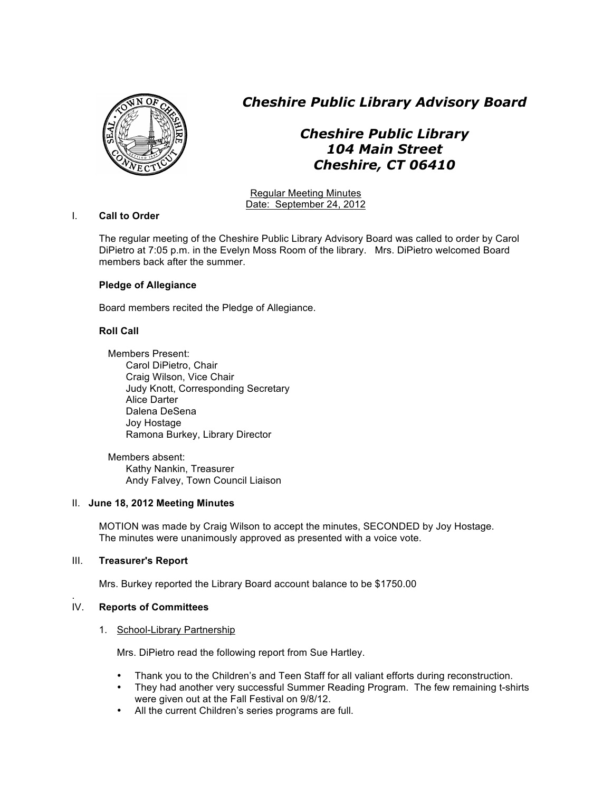

*Cheshire Public Library Advisory Board*

# *Cheshire Public Library 104 Main Street Cheshire, CT 06410*

Regular Meeting Minutes Date: September 24, 2012

## I. **Call to Order**

The regular meeting of the Cheshire Public Library Advisory Board was called to order by Carol DiPietro at 7:05 p.m. in the Evelyn Moss Room of the library. Mrs. DiPietro welcomed Board members back after the summer.

# **Pledge of Allegiance**

Board members recited the Pledge of Allegiance.

# **Roll Call**

Members Present: Carol DiPietro, Chair Craig Wilson, Vice Chair Judy Knott, Corresponding Secretary Alice Darter Dalena DeSena Joy Hostage Ramona Burkey, Library Director

Members absent: Kathy Nankin, Treasurer Andy Falvey, Town Council Liaison

## II. **June 18, 2012 Meeting Minutes**

MOTION was made by Craig Wilson to accept the minutes, SECONDED by Joy Hostage. The minutes were unanimously approved as presented with a voice vote.

# III. **Treasurer's Report**

Mrs. Burkey reported the Library Board account balance to be \$1750.00

#### . IV. **Reports of Committees**

## 1. School-Library Partnership

Mrs. DiPietro read the following report from Sue Hartley.

- Thank you to the Children's and Teen Staff for all valiant efforts during reconstruction.
- They had another very successful Summer Reading Program. The few remaining t-shirts were given out at the Fall Festival on 9/8/12.
- All the current Children's series programs are full.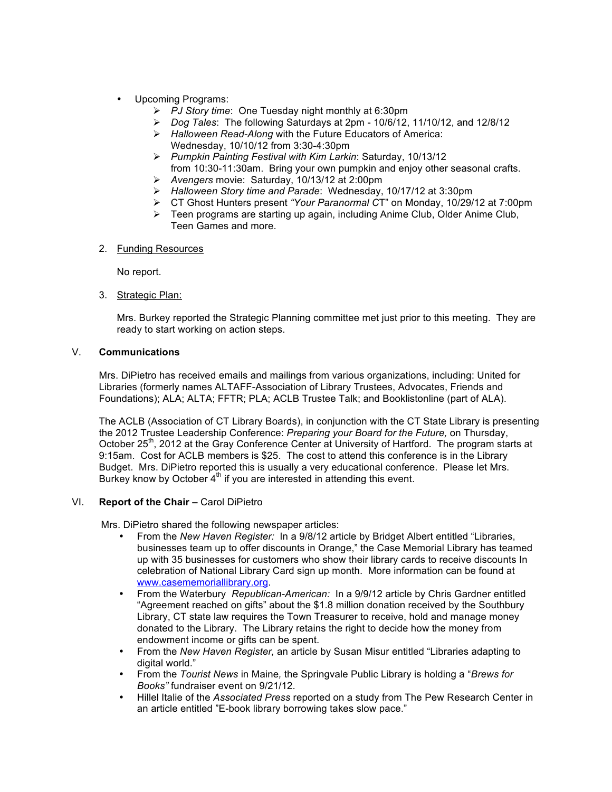- Upcoming Programs:
	- *PJ Story time*: One Tuesday night monthly at 6:30pm
	- *Dog Tales*: The following Saturdays at 2pm 10/6/12, 11/10/12, and 12/8/12
	- *Halloween Read-Along* with the Future Educators of America: Wednesday, 10/10/12 from 3:30-4:30pm
	- *Pumpkin Painting Festival with Kim Larkin*: Saturday, 10/13/12 from 10:30-11:30am. Bring your own pumpkin and enjoy other seasonal crafts.
	- *Avengers* movie: Saturday, 10/13/12 at 2:00pm
	- *Halloween Story time and Parade*: Wednesday, 10/17/12 at 3:30pm
	- CT Ghost Hunters present *"Your Paranormal C*T" on Monday, 10/29/12 at 7:00pm
	- $\triangleright$  Teen programs are starting up again, including Anime Club, Older Anime Club, Teen Games and more.

## 2. Funding Resources

No report.

3. Strategic Plan:

Mrs. Burkey reported the Strategic Planning committee met just prior to this meeting. They are ready to start working on action steps.

# V. **Communications**

Mrs. DiPietro has received emails and mailings from various organizations, including: United for Libraries (formerly names ALTAFF-Association of Library Trustees, Advocates, Friends and Foundations); ALA; ALTA; FFTR; PLA; ACLB Trustee Talk; and Booklistonline (part of ALA).

 The ACLB (Association of CT Library Boards), in conjunction with the CT State Library is presenting the 2012 Trustee Leadership Conference: *Preparing your Board for the Future,* on Thursday, October 25 $\mathsf{m}$ , 2012 at the Gray Conference Center at University of Hartford. The program starts at 9:15am. Cost for ACLB members is \$25. The cost to attend this conference is in the Library Budget. Mrs. DiPietro reported this is usually a very educational conference. Please let Mrs. Burkey know by October  $4<sup>th</sup>$  if you are interested in attending this event.

## VI. **Report of the Chair –** Carol DiPietro

Mrs. DiPietro shared the following newspaper articles:

- From the *New Haven Register:* In a 9/8/12 article by Bridget Albert entitled "Libraries, businesses team up to offer discounts in Orange," the Case Memorial Library has teamed up with 35 businesses for customers who show their library cards to receive discounts In celebration of National Library Card sign up month. More information can be found at www.casememoriallibrary.org.
- From the Waterbury *Republican-American:* In a 9/9/12 article by Chris Gardner entitled "Agreement reached on gifts" about the \$1.8 million donation received by the Southbury Library, CT state law requires the Town Treasurer to receive, hold and manage money donated to the Library. The Library retains the right to decide how the money from endowment income or gifts can be spent.
- From the *New Haven Register,* an article by Susan Misur entitled "Libraries adapting to digital world."
- From the *Tourist News* in Maine*,* the Springvale Public Library is holding a "*Brews for Books"* fundraiser event on 9/21/12.
- Hillel Italie of the *Associated Press* reported on a study from The Pew Research Center in an article entitled "E-book library borrowing takes slow pace."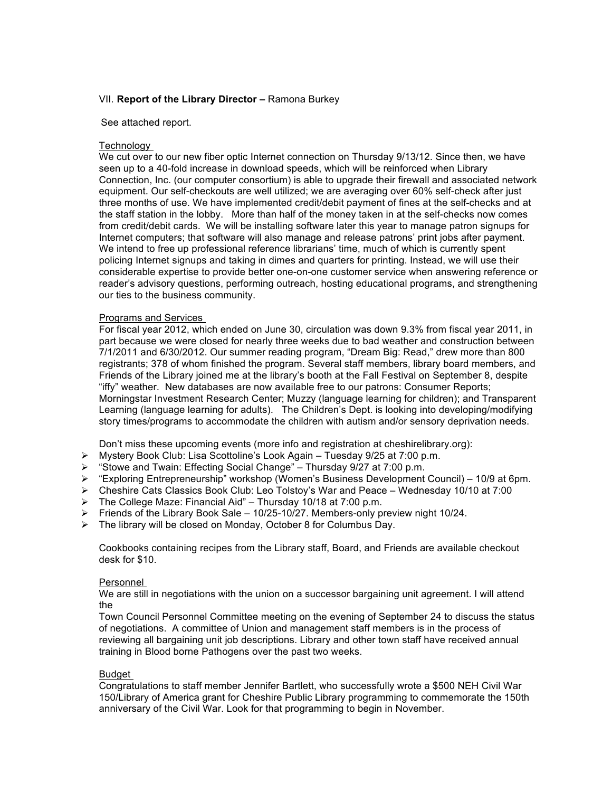## VII. **Report of the Library Director –** Ramona Burkey

#### See attached report.

#### Technology

We cut over to our new fiber optic Internet connection on Thursday 9/13/12. Since then, we have seen up to a 40-fold increase in download speeds, which will be reinforced when Library Connection, Inc. (our computer consortium) is able to upgrade their firewall and associated network equipment. Our self-checkouts are well utilized; we are averaging over 60% self-check after just three months of use. We have implemented credit/debit payment of fines at the self-checks and at the staff station in the lobby. More than half of the money taken in at the self-checks now comes from credit/debit cards. We will be installing software later this year to manage patron signups for Internet computers; that software will also manage and release patrons' print jobs after payment. We intend to free up professional reference librarians' time, much of which is currently spent policing Internet signups and taking in dimes and quarters for printing. Instead, we will use their considerable expertise to provide better one-on-one customer service when answering reference or reader's advisory questions, performing outreach, hosting educational programs, and strengthening our ties to the business community.

#### Programs and Services

For fiscal year 2012, which ended on June 30, circulation was down 9.3% from fiscal year 2011, in part because we were closed for nearly three weeks due to bad weather and construction between 7/1/2011 and 6/30/2012. Our summer reading program, "Dream Big: Read," drew more than 800 registrants; 378 of whom finished the program. Several staff members, library board members, and Friends of the Library joined me at the library's booth at the Fall Festival on September 8, despite "iffy" weather. New databases are now available free to our patrons: Consumer Reports; Morningstar Investment Research Center; Muzzy (language learning for children); and Transparent Learning (language learning for adults). The Children's Dept. is looking into developing/modifying story times/programs to accommodate the children with autism and/or sensory deprivation needs.

Don't miss these upcoming events (more info and registration at cheshirelibrary.org):

- Mystery Book Club: Lisa Scottoline's Look Again Tuesday 9/25 at 7:00 p.m.
- "Stowe and Twain: Effecting Social Change" Thursday 9/27 at 7:00 p.m.
- "Exploring Entrepreneurship" workshop (Women's Business Development Council) 10/9 at 6pm.
- Cheshire Cats Classics Book Club: Leo Tolstoy's War and Peace Wednesday 10/10 at 7:00
- The College Maze: Financial Aid" Thursday 10/18 at 7:00 p.m.
- $\triangleright$  Friends of the Library Book Sale 10/25-10/27. Members-only preview night 10/24.
- $\triangleright$  The library will be closed on Monday, October 8 for Columbus Day.

Cookbooks containing recipes from the Library staff, Board, and Friends are available checkout desk for \$10.

#### Personnel

We are still in negotiations with the union on a successor bargaining unit agreement. I will attend the

Town Council Personnel Committee meeting on the evening of September 24 to discuss the status of negotiations. A committee of Union and management staff members is in the process of reviewing all bargaining unit job descriptions. Library and other town staff have received annual training in Blood borne Pathogens over the past two weeks.

#### Budget

Congratulations to staff member Jennifer Bartlett, who successfully wrote a \$500 NEH Civil War 150/Library of America grant for Cheshire Public Library programming to commemorate the 150th anniversary of the Civil War. Look for that programming to begin in November.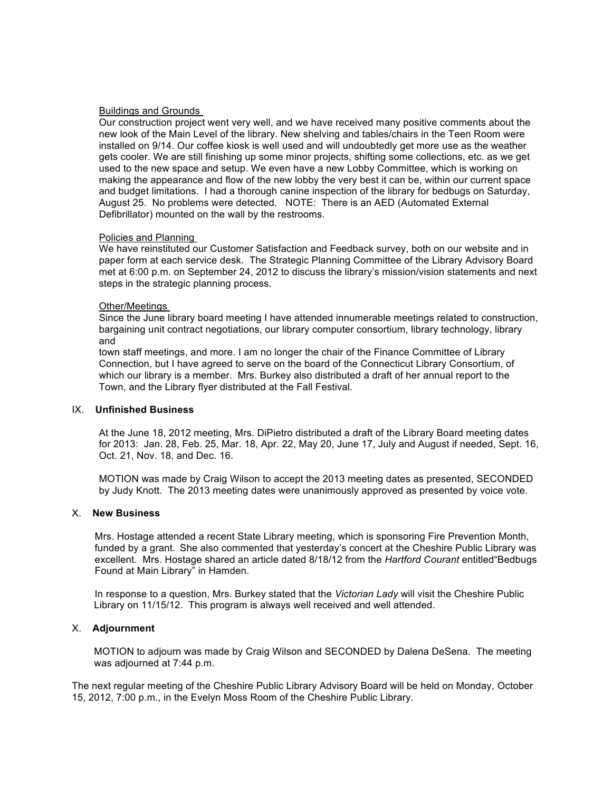### Buildings and Grounds

Our construction project went very well, and we have received many positive comments about the new look of the Main Level of the library. New shelving and tables/chairs in the Teen Room were installed on 9/14. Our coffee kiosk is well used and will undoubtedly get more use as the weather gets cooler. We are still finishing up some minor projects, shifting some collections, etc. as we get used to the new space and setup. We even have a new Lobby Committee, which is working on making the appearance and flow of the new lobby the very best it can be, within our current space and budget limitations. I had a thorough canine inspection of the library for bedbugs on Saturday, August 25. No problems were detected. NOTE: There is an AED (Automated External Defibrillator) mounted on the wall by the restrooms.

#### Policies and Planning

We have reinstituted our Customer Satisfaction and Feedback survey, both on our website and in paper form at each service desk. The Strategic Planning Committee of the Library Advisory Board met at 6:00 p.m. on September 24, 2012 to discuss the library's mission/vision statements and next steps in the strategic planning process.

#### Other/Meetings

Since the June library board meeting I have attended innumerable meetings related to construction, bargaining unit contract negotiations, our library computer consortium, library technology, library and

town staff meetings, and more. I am no longer the chair of the Finance Committee of Library Connection, but I have agreed to serve on the board of the Connecticut Library Consortium, of which our library is a member. Mrs. Burkey also distributed a draft of her annual report to the Town, and the Library flyer distributed at the Fall Festival.

#### IX. **Unfinished Business**

At the June 18, 2012 meeting, Mrs. DiPietro distributed a draft of the Library Board meeting dates for 2013: Jan. 28, Feb. 25, Mar. 18, Apr. 22, May 20, June 17, July and August if needed, Sept. 16, Oct. 21, Nov. 18, and Dec. 16.

MOTION was made by Craig Wilson to accept the 2013 meeting dates as presented, SECONDED by Judy Knott. The 2013 meeting dates were unanimously approved as presented by voice vote.

# X. **New Business**

 Mrs. Hostage attended a recent State Library meeting, which is sponsoring Fire Prevention Month, funded by a grant. She also commented that yesterday's concert at the Cheshire Public Library was excellent. Mrs. Hostage shared an article dated 8/18/12 from the *Hartford Courant* entitled"Bedbugs Found at Main Library" in Hamden.

 In response to a question, Mrs. Burkey stated that the *Victorian Lady* will visit the Cheshire Public Library on 11/15/12. This program is always well received and well attended.

# X. **Adjournment**

 MOTION to adjourn was made by Craig Wilson and SECONDED by Dalena DeSena. The meeting was adjourned at 7:44 p.m.

The next regular meeting of the Cheshire Public Library Advisory Board will be held on Monday, October 15, 2012, 7:00 p.m., in the Evelyn Moss Room of the Cheshire Public Library.